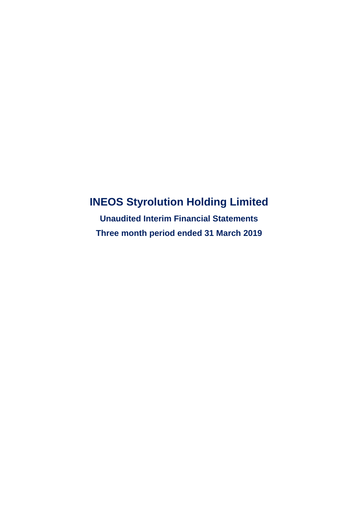# **INEOS Styrolution Holding Limited**

**Unaudited Interim Financial Statements Three month period ended 31 March 2019**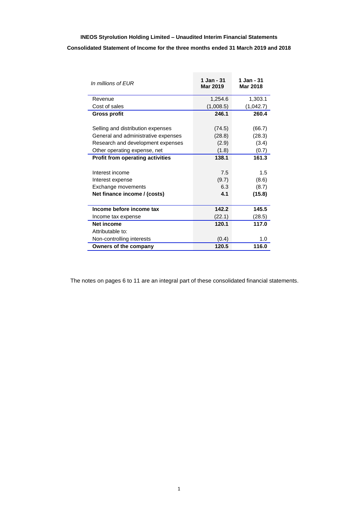## **INEOS Styrolution Holding Limited – Unaudited Interim Financial Statements Consolidated Statement of Income for the three months ended 31 March 2019 and 2018**

| In millions of EUR                  | 1 Jan - 31<br>Mar 2019 | 1 Jan - 31<br><b>Mar 2018</b> |
|-------------------------------------|------------------------|-------------------------------|
| Revenue                             | 1,254.6                | 1,303.1                       |
| Cost of sales                       | (1,008.5)              | (1,042.7)                     |
| <b>Gross profit</b>                 | 246.1                  | 260.4                         |
|                                     |                        |                               |
| Selling and distribution expenses   | (74.5)                 | (66.7)                        |
| General and administrative expenses | (28.8)                 | (28.3)                        |
| Research and development expenses   | (2.9)                  | (3.4)                         |
| Other operating expense, net        | (1.8)                  | (0.7)                         |
| Profit from operating activities    | 138.1                  | 161.3                         |
|                                     |                        |                               |
| Interest income                     | 7.5                    | 1.5                           |
| Interest expense                    | (9.7)                  | (8.6)                         |
| Exchange movements                  | 6.3                    | (8.7)                         |
| Net finance income / (costs)        | 4.1                    | (15.8)                        |
|                                     |                        |                               |
| Income before income tax            | 142.2                  | 145.5                         |
| Income tax expense                  | (22.1)                 | (28.5)                        |
| Net income                          | 120.1                  | 117.0                         |
| Attributable to:                    |                        |                               |
| Non-controlling interests           | (0.4)                  | 1.0                           |
| Owners of the company               | 120.5                  | 116.0                         |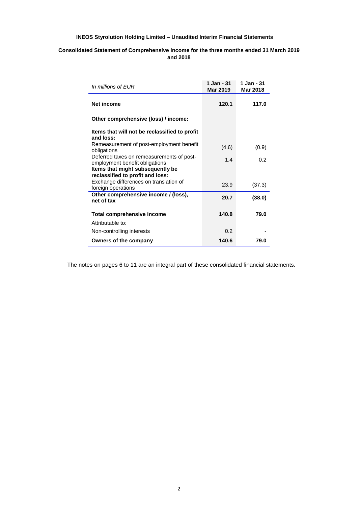## **Consolidated Statement of Comprehensive Income for the three months ended 31 March 2019 and 2018**

| In millions of EUR                                                          | 1 Jan - 31<br><b>Mar 2019</b> | 1 Jan - 31<br><b>Mar 2018</b> |
|-----------------------------------------------------------------------------|-------------------------------|-------------------------------|
| <b>Net income</b>                                                           | 120.1                         | 117.0                         |
| Other comprehensive (loss) / income:                                        |                               |                               |
| Items that will not be reclassified to profit<br>and loss:                  |                               |                               |
| Remeasurement of post-employment benefit<br>obligations                     | (4.6)                         | (0.9)                         |
| Deferred taxes on remeasurements of post-<br>employment benefit obligations | 1.4                           | 0.2                           |
| Items that might subsequently be<br>reclassified to profit and loss:        |                               |                               |
| Exchange differences on translation of<br>foreign operations                | 23.9                          | (37.3)                        |
| Other comprehensive income / (loss),<br>net of tax                          | 20.7                          | (38.0)                        |
| Total comprehensive income                                                  | 140.8                         | 79.0                          |
| Attributable to:                                                            |                               |                               |
| Non-controlling interests                                                   | 0.2                           |                               |
| Owners of the company                                                       | 140.6                         | 79.0                          |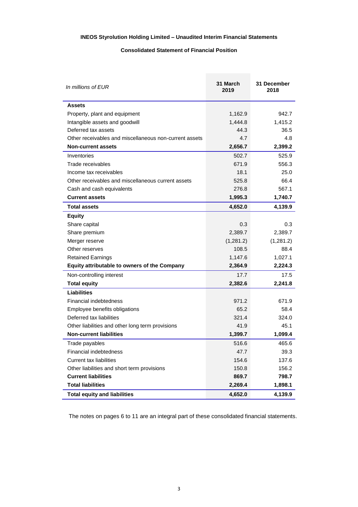## **Consolidated Statement of Financial Position**

| In millions of EUR                                     | 31 March<br>2019 | 31 December<br>2018 |
|--------------------------------------------------------|------------------|---------------------|
| <b>Assets</b>                                          |                  |                     |
| Property, plant and equipment                          | 1,162.9          | 942.7               |
| Intangible assets and goodwill                         | 1,444.8          | 1,415.2             |
| Deferred tax assets                                    | 44.3             | 36.5                |
| Other receivables and miscellaneous non-current assets | 4.7              | 4.8                 |
| <b>Non-current assets</b>                              | 2,656.7          | 2,399.2             |
| Inventories                                            | 502.7            | 525.9               |
| Trade receivables                                      | 671.9            | 556.3               |
| Income tax receivables                                 | 18.1             | 25.0                |
| Other receivables and miscellaneous current assets     | 525.8            | 66.4                |
| Cash and cash equivalents                              | 276.8            | 567.1               |
| <b>Current assets</b>                                  | 1,995.3          | 1,740.7             |
| <b>Total assets</b>                                    | 4,652.0          | 4,139.9             |
| <b>Equity</b>                                          |                  |                     |
| Share capital                                          | 0.3              | 0.3                 |
| Share premium                                          | 2,389.7          | 2,389.7             |
| Merger reserve                                         | (1,281.2)        | (1,281.2)           |
| Other reserves                                         | 108.5            | 88.4                |
| <b>Retained Earnings</b>                               | 1,147.6          | 1,027.1             |
| Equity attributable to owners of the Company           | 2,364.9          | 2,224.3             |
| Non-controlling interest                               | 17.7             | 17.5                |
| <b>Total equity</b>                                    | 2,382.6          | 2,241.8             |
| Liabilities                                            |                  |                     |
| <b>Financial indebtedness</b>                          | 971.2            | 671.9               |
| Employee benefits obligations                          | 65.2             | 58.4                |
| Deferred tax liabilities                               | 321.4            | 324.0               |
| Other liabilities and other long term provisions       | 41.9             | 45.1                |
| <b>Non-current liabilities</b>                         | 1,399.7          | 1,099.4             |
| Trade payables                                         | 516.6            | 465.6               |
| Financial indebtedness                                 | 47.7             | 39.3                |
| <b>Current tax liabilities</b>                         | 154.6            | 137.6               |
| Other liabilities and short term provisions            | 150.8            | 156.2               |
| <b>Current liabilities</b>                             | 869.7            | 798.7               |
| <b>Total liabilities</b>                               | 2,269.4          | 1,898.1             |
| <b>Total equity and liabilities</b>                    | 4,652.0          | 4,139.9             |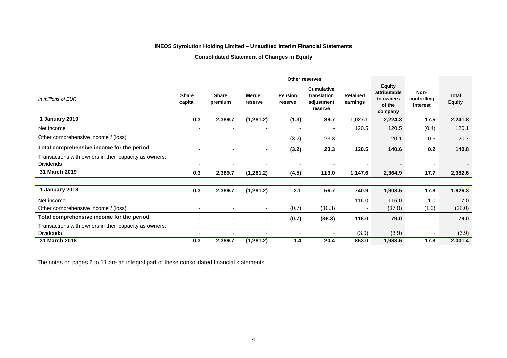## **Consolidated Statement of Changes in Equity**

|                                                       | Other reserves           |                          |                          |                    |                                                           |                             |                                                                 |                                 |                               |
|-------------------------------------------------------|--------------------------|--------------------------|--------------------------|--------------------|-----------------------------------------------------------|-----------------------------|-----------------------------------------------------------------|---------------------------------|-------------------------------|
| In millions of EUR                                    | <b>Share</b><br>capital  | <b>Share</b><br>premium  | Merger<br>reserve        | Pension<br>reserve | <b>Cumulative</b><br>translation<br>adjustment<br>reserve | <b>Retained</b><br>earnings | <b>Equity</b><br>attributable<br>to owners<br>of the<br>company | Non-<br>controlling<br>interest | <b>Total</b><br><b>Equity</b> |
| 1 January 2019                                        | 0.3                      | 2,389.7                  | (1, 281.2)               | (1.3)              | 89.7                                                      | 1,027.1                     | 2,224.3                                                         | 17.5                            | 2,241.8                       |
| Net income                                            |                          |                          |                          |                    |                                                           | 120.5                       | 120.5                                                           | (0.4)                           | 120.1                         |
| Other comprehensive income / (loss)                   | $\overline{\phantom{a}}$ | $\overline{\phantom{0}}$ | $\overline{\phantom{a}}$ | (3.2)              | 23.3                                                      |                             | 20.1                                                            | 0.6                             | 20.7                          |
| Total comprehensive income for the period             |                          |                          | $\blacksquare$           | (3.2)              | 23.3                                                      | 120.5                       | 140.6                                                           | 0.2                             | 140.8                         |
| Transactions with owners in their capacity as owners: |                          |                          |                          |                    |                                                           |                             |                                                                 |                                 |                               |
| <b>Dividends</b>                                      |                          |                          |                          | $\blacksquare$     |                                                           |                             |                                                                 | $\overline{\phantom{a}}$        |                               |
| 31 March 2019                                         | 0.3                      | 2,389.7                  | (1, 281.2)               | (4.5)              | 113.0                                                     | 1,147.6                     | 2,364.9                                                         | 17.7                            | 2,382.6                       |
|                                                       |                          |                          |                          |                    |                                                           |                             |                                                                 |                                 |                               |
| 1 January 2018                                        | 0.3                      | 2,389.7                  | (1, 281.2)               | 2.1                | 56.7                                                      | 740.9                       | 1,908.5                                                         | 17.8                            | 1,926.3                       |
| Net income                                            |                          |                          |                          |                    |                                                           | 116.0                       | 116.0                                                           | 1.0                             | 117.0                         |
| Other comprehensive income / (loss)                   |                          |                          |                          | (0.7)              | (36.3)                                                    |                             | (37.0)                                                          | (1.0)                           | (38.0)                        |
| Total comprehensive income for the period             |                          |                          | $\blacksquare$           | (0.7)              | (36.3)                                                    | 116.0                       | 79.0                                                            | Ξ.                              | 79.0                          |
| Transactions with owners in their capacity as owners: |                          |                          |                          |                    |                                                           |                             |                                                                 |                                 |                               |
| <b>Dividends</b>                                      |                          |                          |                          |                    |                                                           | (3.9)                       | (3.9)                                                           |                                 | (3.9)                         |
| 31 March 2018                                         | 0.3                      | 2,389.7                  | (1, 281.2)               | 1.4                | 20.4                                                      | 853.0                       | 1,983.6                                                         | 17.8                            | 2,001.4                       |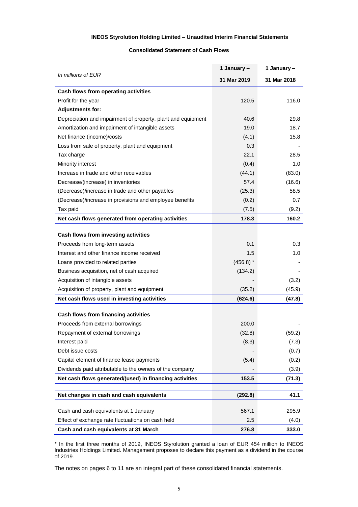## **Consolidated Statement of Cash Flows**

|                                                              | 1 January - | 1 January - |
|--------------------------------------------------------------|-------------|-------------|
| In millions of EUR                                           | 31 Mar 2019 | 31 Mar 2018 |
| Cash flows from operating activities                         |             |             |
| Profit for the year                                          | 120.5       | 116.0       |
| <b>Adjustments for:</b>                                      |             |             |
| Depreciation and impairment of property, plant and equipment | 40.6        | 29.8        |
| Amortization and impairment of intangible assets             | 19.0        | 18.7        |
| Net finance (income)/costs                                   | (4.1)       | 15.8        |
| Loss from sale of property, plant and equipment              | 0.3         |             |
| Tax charge                                                   | 22.1        | 28.5        |
| Minority interest                                            | (0.4)       | 1.0         |
| Increase in trade and other receivables                      | (44.1)      | (83.0)      |
| Decrease/(increase) in inventories                           | 57.4        | (16.6)      |
| (Decrease)/increase in trade and other payables              | (25.3)      | 58.5        |
| (Decrease)/increase in provisions and employee benefits      | (0.2)       | 0.7         |
| Tax paid                                                     | (7.5)       | (9.2)       |
| Net cash flows generated from operating activities           | 178.3       | 160.2       |
|                                                              |             |             |
| Cash flows from investing activities                         |             |             |
| Proceeds from long-term assets                               | 0.1         | 0.3         |
| Interest and other finance income received                   | 1.5         | 1.0         |
| Loans provided to related parties                            | $(456.8)$ * |             |
| Business acquisition, net of cash acquired                   | (134.2)     |             |
| Acquisition of intangible assets                             |             | (3.2)       |
| Acquisition of property, plant and equipment                 | (35.2)      | (45.9)      |
| Net cash flows used in investing activities                  | (624.6)     | (47.8)      |
| Cash flows from financing activities                         |             |             |
| Proceeds from external borrowings                            | 200.0       |             |
| Repayment of external borrowings                             | (32.8)      | (59.2)      |
| Interest paid                                                | (8.3)       | (7.3)       |
| Debt issue costs                                             |             | (0.7)       |
| Capital element of finance lease payments                    | (5.4)       | (0.2)       |
| Dividends paid attributable to the owners of the company     |             | (3.9)       |
| Net cash flows generated/(used) in financing activities      | 153.5       | (71.3)      |
|                                                              |             |             |
| Net changes in cash and cash equivalents                     | (292.8)     | 41.1        |
| Cash and cash equivalents at 1 January                       | 567.1       | 295.9       |
| Effect of exchange rate fluctuations on cash held            | 2.5         | (4.0)       |
| Cash and cash equivalents at 31 March                        | 276.8       | 333.0       |

\* In the first three months of 2019, INEOS Styrolution granted a loan of EUR 454 million to INEOS Industries Holdings Limited. Management proposes to declare this payment as a dividend in the course of 2019.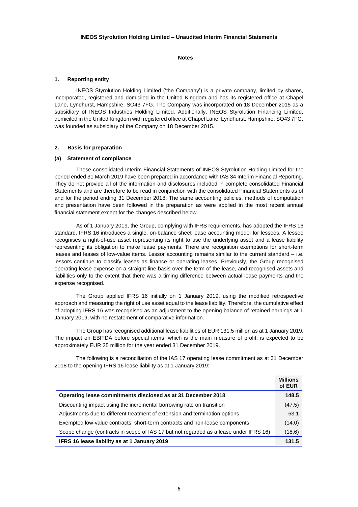**Notes**

## **1. Reporting entity**

INEOS Styrolution Holding Limited ('the Company') is a private company, limited by shares, incorporated, registered and domiciled in the United Kingdom and has its registered office at Chapel Lane, Lyndhurst, Hampshire, SO43 7FG. The Company was incorporated on 18 December 2015 as a subsidiary of INEOS Industries Holding Limited. Additionally, INEOS Styrolution Financing Limited, domiciled in the United Kingdom with registered office at Chapel Lane, Lyndhurst, Hampshire, SO43 7FG, was founded as subsidiary of the Company on 18 December 2015.

## **2. Basis for preparation**

#### **(a) Statement of compliance**

These consolidated Interim Financial Statements of INEOS Styrolution Holding Limited for the period ended 31 March 2019 have been prepared in accordance with IAS 34 Interim Financial Reporting. They do not provide all of the information and disclosures included in complete consolidated Financial Statements and are therefore to be read in conjunction with the consolidated Financial Statements as of and for the period ending 31 December 2018. The same accounting policies, methods of computation and presentation have been followed in the preparation as were applied in the most recent annual financial statement except for the changes described below.

As of 1 January 2019, the Group, complying with IFRS requirements, has adopted the IFRS 16 standard. IFRS 16 introduces a single, on-balance sheet lease accounting model for lessees. A lessee recognises a right-of-use asset representing its right to use the underlying asset and a lease liability representing its obligation to make lease payments. There are recognition exemptions for short-term leases and leases of low-value items. Lessor accounting remains similar to the current standard – i.e. lessors continue to classify leases as finance or operating leases. Previously, the Group recognised operating lease expense on a straight-line basis over the term of the lease, and recognised assets and liabilities only to the extent that there was a timing difference between actual lease payments and the expense recognised.

The Group applied IFRS 16 initially on 1 January 2019, using the modified retrospective approach and measuring the right of use asset equal to the lease liability. Therefore, the cumulative effect of adopting IFRS 16 was recognised as an adjustment to the opening balance of retained earnings at 1 January 2019, with no restatement of comparative information.

The Group has recognised additional lease liabilities of EUR 131.5 million as at 1 January 2019. The impact on EBITDA before special items, which is the main measure of profit, is expected to be approximately EUR 25 million for the year ended 31 December 2019.

The following is a reconciliation of the IAS 17 operating lease commitment as at 31 December 2018 to the opening IFRS 16 lease liability as at 1 January 2019:

|                                                                                       | <b>Millions</b><br>of EUR |
|---------------------------------------------------------------------------------------|---------------------------|
| Operating lease commitments disclosed as at 31 December 2018                          | 148.5                     |
| Discounting impact using the incremental borrowing rate on transition                 | (47.5)                    |
| Adjustments due to different treatment of extension and termination options           | 63.1                      |
| Exempted low-value contracts, short-term contracts and non-lease components           | (14.0)                    |
| Scope change (contracts in scope of IAS 17 but not regarded as a lease under IFRS 16) | (18.6)                    |
| IFRS 16 lease liability as at 1 January 2019                                          | 131.5                     |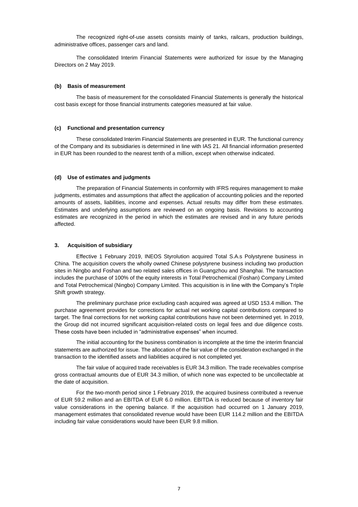The recognized right-of-use assets consists mainly of tanks, railcars, production buildings, administrative offices, passenger cars and land.

The consolidated Interim Financial Statements were authorized for issue by the Managing Directors on 2 May 2019.

#### **(b) Basis of measurement**

The basis of measurement for the consolidated Financial Statements is generally the historical cost basis except for those financial instruments categories measured at fair value.

#### **(c) Functional and presentation currency**

These consolidated Interim Financial Statements are presented in EUR. The functional currency of the Company and its subsidiaries is determined in line with IAS 21. All financial information presented in EUR has been rounded to the nearest tenth of a million, except when otherwise indicated.

## **(d) Use of estimates and judgments**

The preparation of Financial Statements in conformity with IFRS requires management to make judgments, estimates and assumptions that affect the application of accounting policies and the reported amounts of assets, liabilities, income and expenses. Actual results may differ from these estimates. Estimates and underlying assumptions are reviewed on an ongoing basis. Revisions to accounting estimates are recognized in the period in which the estimates are revised and in any future periods affected.

#### **3. Acquisition of subsidiary**

Effective 1 February 2019, INEOS Styrolution acquired Total S.A.s Polystyrene business in China. The acquisition covers the wholly owned Chinese polystyrene business including two production sites in Ningbo and Foshan and two related sales offices in Guangzhou and Shanghai. The transaction includes the purchase of 100% of the equity interests in Total Petrochemical (Foshan) Company Limited and Total Petrochemical (Ningbo) Company Limited. This acquisition is in line with the Company's Triple Shift growth strategy.

The preliminary purchase price excluding cash acquired was agreed at USD 153.4 million. The purchase agreement provides for corrections for actual net working capital contributions compared to target. The final corrections for net working capital contributions have not been determined yet. In 2019, the Group did not incurred significant acquisition-related costs on legal fees and due diligence costs. These costs have been included in "administrative expenses" when incurred.

The initial accounting for the business combination is incomplete at the time the interim financial statements are authorized for issue. The allocation of the fair value of the consideration exchanged in the transaction to the identified assets and liabilities acquired is not completed yet.

The fair value of acquired trade receivables is EUR 34.3 million. The trade receivables comprise gross contractual amounts due of EUR 34.3 million, of which none was expected to be uncollectable at the date of acquisition.

For the two-month period since 1 February 2019, the acquired business contributed a revenue of EUR 59.2 million and an EBITDA of EUR 6.0 million. EBITDA is reduced because of inventory fair value considerations in the opening balance. If the acquisition had occurred on 1 January 2019, management estimates that consolidated revenue would have been EUR 114.2 million and the EBITDA including fair value considerations would have been EUR 9.8 million.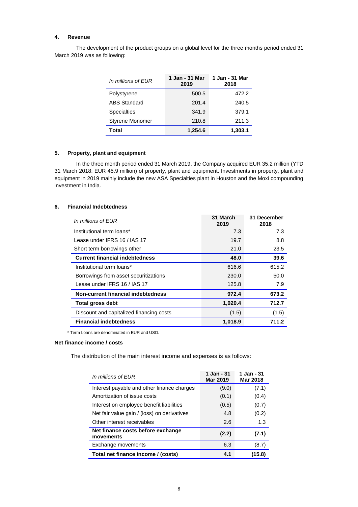## **4. Revenue**

The development of the product groups on a global level for the three months period ended 31 March 2019 was as following:

| In millions of FUR     | 1 Jan - 31 Mar<br>2019 | 1 Jan - 31 Mar<br>2018 |
|------------------------|------------------------|------------------------|
| Polystyrene            | 500.5                  | 472.2                  |
| <b>ABS Standard</b>    | 201.4                  | 240.5                  |
| <b>Specialties</b>     | 341.9                  | 379.1                  |
| <b>Styrene Monomer</b> | 210.8                  | 211.3                  |
| Total                  | 1.254.6                | 1,303.1                |

## **5. Property, plant and equipment**

In the three month period ended 31 March 2019, the Company acquired EUR 35.2 million (YTD 31 March 2018: EUR 45.9 million) of property, plant and equipment. Investments in property, plant and equipment in 2019 mainly include the new ASA Specialties plant in Houston and the Moxi compounding investment in India.

## **6. Financial Indebtedness**

| In millions of EUR                       | 31 March<br>2019 | 31 December<br>2018 |
|------------------------------------------|------------------|---------------------|
| Institutional term loans*                | 7.3              | 7.3                 |
| Lease under IFRS 16 / IAS 17             | 19.7             | 8.8                 |
| Short term borrowings other              | 21.0             | 23.5                |
| <b>Current financial indebtedness</b>    | 48.0             | 39.6                |
| Institutional term loans*                | 616.6            | 615.2               |
| Borrowings from asset securitizations    | 230.0            | 50.0                |
| Lease under IFRS 16 / IAS 17             | 125.8            | 7.9                 |
| Non-current financial indebtedness       | 972.4            | 673.2               |
| <b>Total gross debt</b>                  | 1,020.4          | 712.7               |
| Discount and capitalized financing costs | (1.5)            | (1.5)               |
| <b>Financial indebtedness</b>            | 1,018.9          | 711.2               |

\* Term Loans are denominated in EUR and USD.

## **Net finance income / costs**

The distribution of the main interest income and expenses is as follows:

| In millions of EUR                             | 1 Jan - 31<br><b>Mar 2019</b> | 1 Jan - 31<br><b>Mar 2018</b> |
|------------------------------------------------|-------------------------------|-------------------------------|
| Interest payable and other finance charges     | (9.0)                         | (7.1)                         |
| Amortization of issue costs                    | (0.1)                         | (0.4)                         |
| Interest on employee benefit liabilities       | (0.5)                         | (0.7)                         |
| Net fair value gain / (loss) on derivatives    | 4.8                           | (0.2)                         |
| Other interest receivables                     | 2.6                           | 1.3                           |
| Net finance costs before exchange<br>movements | (2.2)                         | (7.1)                         |
| Exchange movements                             | 6.3                           | (8.7)                         |
| Total net finance income / (costs)             | 4.1                           | (15.8)                        |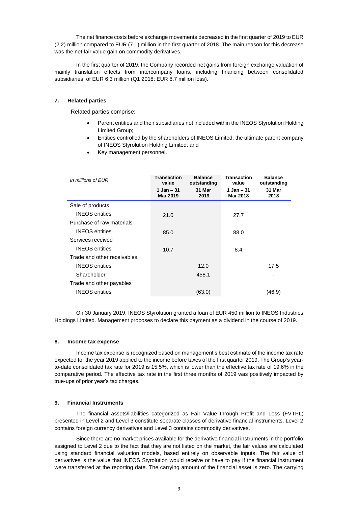The net finance costs before exchange movements decreased in the first quarter of 2019 to EUR (2.2) million compared to EUR (7.1) million in the first quarter of 2018. The main reason for this decrease was the net fair value gain on commodity derivatives.

In the first quarter of 2019, the Company recorded net gains from foreign exchange valuation of mainly translation effects from intercompany loans, including financing between consolidated subsidiaries, of EUR 6.3 million (Q1 2018: EUR 8.7 million loss).

## **7. Related parties**

Related parties comprise:

- Parent entities and their subsidiaries not included within the INEOS Styrolution Holding Limited Group;
- Entities controlled by the shareholders of INEOS Limited, the ultimate parent company of INEOS Styrolution Holding Limited; and
- Key management personnel.

| In millions of EUR          | <b>Transaction</b><br>value   | <b>Balance</b><br>outstanding | <b>Transaction</b><br>value | <b>Balance</b><br>outstanding |
|-----------------------------|-------------------------------|-------------------------------|-----------------------------|-------------------------------|
|                             | 1 Jan - 31<br><b>Mar 2019</b> | 31 Mar<br>2019                | 1 Jan – 31<br>Mar 2018      | 31 Mar<br>2018                |
| Sale of products            |                               |                               |                             |                               |
| <b>INEOS</b> entities       | 21.0                          |                               | 27.7                        |                               |
| Purchase of raw materials   |                               |                               |                             |                               |
| <b>INEOS</b> entities       | 85.0                          |                               | 88.0                        |                               |
| Services received           |                               |                               |                             |                               |
| <b>INEOS</b> entities       | 10.7                          |                               | 8.4                         |                               |
| Trade and other receivables |                               |                               |                             |                               |
| <b>INEOS</b> entities       |                               | 12.0                          |                             | 17.5                          |
| Shareholder                 |                               | 458.1                         |                             | ٠                             |
| Trade and other payables    |                               |                               |                             |                               |
| <b>INEOS</b> entities       |                               | (63.0)                        |                             | (46.9)                        |

On 30 January 2019, INEOS Styrolution granted a loan of EUR 450 million to INEOS Industries Holdings Limited. Management proposes to declare this payment as a dividend in the course of 2019.

## **8. Income tax expense**

Income tax expense is recognized based on management's best estimate of the income tax rate expected for the year 2019 applied to the income before taxes of the first quarter 2019. The Group's yearto-date consolidated tax rate for 2019 is 15.5%, which is lower than the effective tax rate of 19.6% in the comparative period. The effective tax rate in the first three months of 2019 was positively impacted by true-ups of prior year's tax charges.

## **9. Financial Instruments**

The financial assets/liabilities categorized as Fair Value through Profit and Loss (FVTPL) presented in Level 2 and Level 3 constitute separate classes of derivative financial instruments. Level 2 contains foreign currency derivatives and Level 3 contains commodity derivatives.

Since there are no market prices available for the derivative financial instruments in the portfolio assigned to Level 2 due to the fact that they are not listed on the market, the fair values are calculated using standard financial valuation models, based entirely on observable inputs. The fair value of derivatives is the value that INEOS Styrolution would receive or have to pay if the financial instrument were transferred at the reporting date. The carrying amount of the financial asset is zero. The carrying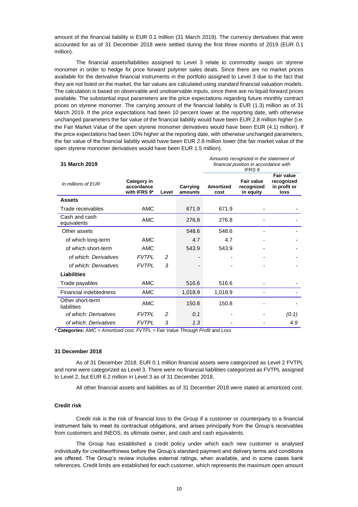amount of the financial liability is EUR 0.1 million (31 March 2019). The currency derivatives that were accounted for as of 31 December 2018 were settled during the first three months of 2019 (EUR 0.1 million).

The financial assets/liabilities assigned to Level 3 relate to commodity swaps on styrene monomer in order to hedge fix price forward polymer sales deals. Since there are no market prices available for the derivative financial instruments in the portfolio assigned to Level 3 due to the fact that they are not listed on the market, the fair values are calculated using standard financial valuation models. The calculation is based on observable and unobservable inputs, since there are no liquid forward prices available. The substantial input parameters are the price expectations regarding future monthly contract prices on styrene monomer. The carrying amount of the financial liability is EUR (1.3) million as of 31 March 2019. If the price expectations had been 10 percent lower at the reporting date, with otherwise unchanged parameters the fair value of the financial liability would have been EUR 2.8 million higher (i.e. the Fair Market Value of the open styrene monomer derivatives would have been EUR (4.1) million). If the price expectations had been 10% higher at the reporting date, with otherwise unchanged parameters, the fair value of the financial liability would have been EUR 2.8 million lower (the fair market value of the open styrene monomer derivatives would have been EUR 1.5 million).

| 31 March 2019                   |                                                  |               |                     | Amounts recognized in the statement of<br>financial position in accordance with<br><b>IFRS 9</b> |                                              |                                                         |
|---------------------------------|--------------------------------------------------|---------------|---------------------|--------------------------------------------------------------------------------------------------|----------------------------------------------|---------------------------------------------------------|
| In millions of EUR              | <b>Category in</b><br>accordance<br>with IFRS 9* | Level         | Carrying<br>amounts | <b>Amortized</b><br>cost                                                                         | <b>Fair value</b><br>recognized<br>in equity | <b>Fair value</b><br>recognized<br>in profit or<br>loss |
| <b>Assets</b>                   |                                                  |               |                     |                                                                                                  |                                              |                                                         |
| Trade receivables               | <b>AMC</b>                                       |               | 671.9               | 671.9                                                                                            |                                              |                                                         |
| Cash and cash<br>equivalents    | <b>AMC</b>                                       |               | 276.8               | 276.8                                                                                            |                                              |                                                         |
| Other assets                    |                                                  |               | 548.6               | 548.6                                                                                            |                                              |                                                         |
| of which long-term              | AMC                                              |               | 4.7                 | 4.7                                                                                              |                                              |                                                         |
| of which short-term             | AMC                                              |               | 543.9               | 543.9                                                                                            |                                              |                                                         |
| of which: Derivatives           | <b>FVTPL</b>                                     | 2             |                     |                                                                                                  | $\overline{\phantom{a}}$                     |                                                         |
| of which: Derivatives           | <b>FVTPL</b>                                     | 3             |                     |                                                                                                  |                                              |                                                         |
| <b>Liabilities</b>              |                                                  |               |                     |                                                                                                  |                                              |                                                         |
| Trade payables                  | <b>AMC</b>                                       |               | 516.6               | 516.6                                                                                            |                                              |                                                         |
| Financial indebtedness          | <b>AMC</b>                                       |               | 1,018.9             | 1,018.9                                                                                          |                                              |                                                         |
| Other short-term<br>liabilities | <b>AMC</b>                                       |               | 150.8               | 150.8                                                                                            |                                              |                                                         |
| of which: Derivatives           | <b>FVTPI</b>                                     | $\mathcal{P}$ | 0.1                 |                                                                                                  |                                              | (0.1)                                                   |
| of which: Derivatives           | <b>FVTPI</b>                                     | 3             | 1.3                 |                                                                                                  |                                              | 4.9                                                     |

*\* Categories: AMC = Amortised cost, FVTPL = Fair Value Through Profit and Loss*

#### **31 December 2018**

As of 31 December 2018, EUR 0.1 million financial assets were categorized as Level 2 FVTPL and none were categorized as Level 3. There were no financial liabilities categorized as FVTPL assigned to Level 2, but EUR 6.2 million in Level 3 as of 31 December 2018.

All other financial assets and liabilities as of 31 December 2018 were stated at amortized cost.

## **Credit risk**

Credit risk is the risk of financial loss to the Group if a customer or counterparty to a financial instrument fails to meet its contractual obligations, and arises principally from the Group's receivables from customers and INEOS, its ultimate owner, and cash and cash equivalents.

The Group has established a credit policy under which each new customer is analysed individually for creditworthiness before the Group's standard payment and delivery terms and conditions are offered. The Group's review includes external ratings, when available, and in some cases bank references. Credit limits are established for each customer, which represents the maximum open amount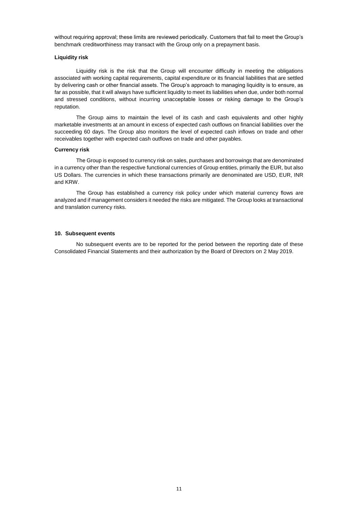without requiring approval; these limits are reviewed periodically. Customers that fail to meet the Group's benchmark creditworthiness may transact with the Group only on a prepayment basis.

## **Liquidity risk**

Liquidity risk is the risk that the Group will encounter difficulty in meeting the obligations associated with working capital requirements, capital expenditure or its financial liabilities that are settled by delivering cash or other financial assets. The Group's approach to managing liquidity is to ensure, as far as possible, that it will always have sufficient liquidity to meet its liabilities when due, under both normal and stressed conditions, without incurring unacceptable losses or risking damage to the Group's reputation.

The Group aims to maintain the level of its cash and cash equivalents and other highly marketable investments at an amount in excess of expected cash outflows on financial liabilities over the succeeding 60 days. The Group also monitors the level of expected cash inflows on trade and other receivables together with expected cash outflows on trade and other payables.

#### **Currency risk**

The Group is exposed to currency risk on sales, purchases and borrowings that are denominated in a currency other than the respective functional currencies of Group entities, primarily the EUR, but also US Dollars. The currencies in which these transactions primarily are denominated are USD, EUR, INR and KRW.

The Group has established a currency risk policy under which material currency flows are analyzed and if management considers it needed the risks are mitigated. The Group looks at transactional and translation currency risks.

## **10. Subsequent events**

No subsequent events are to be reported for the period between the reporting date of these Consolidated Financial Statements and their authorization by the Board of Directors on 2 May 2019.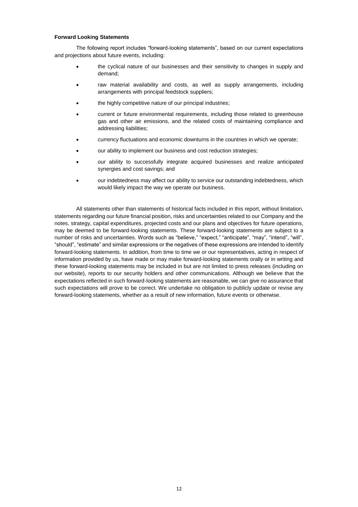#### **Forward Looking Statements**

The following report includes "forward-looking statements", based on our current expectations and projections about future events, including:

- the cyclical nature of our businesses and their sensitivity to changes in supply and demand;
- raw material availability and costs, as well as supply arrangements, including arrangements with principal feedstock suppliers;
- the highly competitive nature of our principal industries:
- current or future environmental requirements, including those related to greenhouse gas and other air emissions, and the related costs of maintaining compliance and addressing liabilities;
- currency fluctuations and economic downturns in the countries in which we operate;
- our ability to implement our business and cost reduction strategies;
- our ability to successfully integrate acquired businesses and realize anticipated synergies and cost savings; and
- our indebtedness may affect our ability to service our outstanding indebtedness, which would likely impact the way we operate our business.

All statements other than statements of historical facts included in this report, without limitation, statements regarding our future financial position, risks and uncertainties related to our Company and the notes, strategy, capital expenditures, projected costs and our plans and objectives for future operations, may be deemed to be forward-looking statements. These forward-looking statements are subject to a number of risks and uncertainties. Words such as "believe," "expect," "anticipate", "may", "intend", "will", "should", "estimate" and similar expressions or the negatives of these expressions are intended to identify forward-looking statements. In addition, from time to time we or our representatives, acting in respect of information provided by us, have made or may make forward-looking statements orally or in writing and these forward-looking statements may be included in but are not limited to press releases (including on our website), reports to our security holders and other communications. Although we believe that the expectations reflected in such forward-looking statements are reasonable, we can give no assurance that such expectations will prove to be correct. We undertake no obligation to publicly update or revise any forward-looking statements, whether as a result of new information, future events or otherwise.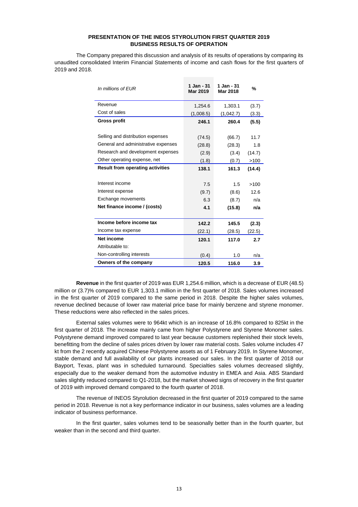## **PRESENTATION OF THE INEOS STYROLUTION FIRST QUARTER 2019 BUSINESS RESULTS OF OPERATION**

The Company prepared this discussion and analysis of its results of operations by comparing its unaudited consolidated Interim Financial Statements of income and cash flows for the first quarters of 2019 and 2018.

| In millions of EUR                      | 1 Jan - 31<br><b>Mar 2019</b> | 1 Jan - 31<br>Mar 2018 | %      |
|-----------------------------------------|-------------------------------|------------------------|--------|
| Revenue                                 | 1,254.6                       | 1,303.1                | (3.7)  |
| Cost of sales                           | (1,008.5)                     | (1,042.7)              | (3.3)  |
| <b>Gross profit</b>                     | 246.1                         | 260.4                  | (5.5)  |
|                                         |                               |                        |        |
| Selling and distribution expenses       | (74.5)                        | (66.7)                 | 11.7   |
| General and administrative expenses     | (28.8)                        | (28.3)                 | 1.8    |
| Research and development expenses       | (2.9)                         | (3.4)                  | (14.7) |
| Other operating expense, net            | (1.8)                         | (0.7)                  | >100   |
| <b>Result from operating activities</b> | 138.1                         | 161.3                  | (14.4) |
|                                         |                               |                        |        |
| Interest income                         | 7.5                           | 1.5                    | >100   |
| Interest expense                        | (9.7)                         | (8.6)                  | 12.6   |
| Exchange movements                      | 6.3                           | (8.7)                  | n/a    |
| Net finance income / (costs)            | 4.1                           | (15.8)                 | n/a    |
|                                         |                               |                        |        |
| Income before income tax                | 142.2                         | 145.5                  | (2.3)  |
| Income tax expense                      | (22.1)                        | (28.5)                 | (22.5) |
| Net income                              | 120.1                         | 117.0                  | 2.7    |
| Attributable to:                        |                               |                        |        |
| Non-controlling interests               | (0.4)                         | 1.0                    | n/a    |
| Owners of the company                   | 120.5                         | 116.0                  | 3.9    |

**Revenue** in the first quarter of 2019 was EUR 1,254.6 million, which is a decrease of EUR (48.5) million or (3.7)% compared to EUR 1,303.1 million in the first quarter of 2018. Sales volumes increased in the first quarter of 2019 compared to the same period in 2018. Despite the higher sales volumes, revenue declined because of lower raw material price base for mainly benzene and styrene monomer. These reductions were also reflected in the sales prices.

External sales volumes were to 964kt which is an increase of 16.8% compared to 825kt in the first quarter of 2018. The increase mainly came from higher Polystyrene and Styrene Monomer sales. Polystyrene demand improved compared to last year because customers replenished their stock levels, benefitting from the decline of sales prices driven by lower raw material costs. Sales volume includes 47 kt from the 2 recently acquired Chinese Polystyrene assets as of 1 February 2019. In Styrene Monomer, stable demand and full availability of our plants increased our sales. In the first quarter of 2018 our Bayport, Texas, plant was in scheduled turnaround. Specialties sales volumes decreased slightly, especially due to the weaker demand from the automotive industry in EMEA and Asia. ABS Standard sales slightly reduced compared to Q1-2018, but the market showed signs of recovery in the first quarter of 2019 with improved demand compared to the fourth quarter of 2018.

The revenue of INEOS Styrolution decreased in the first quarter of 2019 compared to the same period in 2018. Revenue is not a key performance indicator in our business, sales volumes are a leading indicator of business performance.

In the first quarter, sales volumes tend to be seasonally better than in the fourth quarter, but weaker than in the second and third quarter.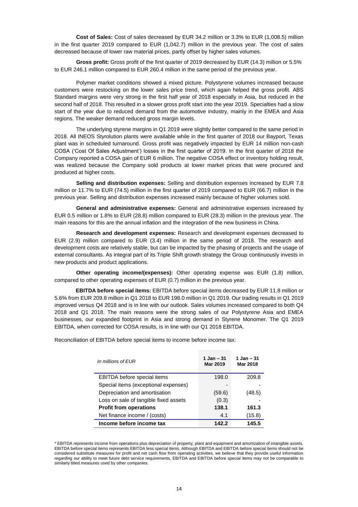**Cost of Sales:** Cost of sales decreased by EUR 34.2 million or 3.3% to EUR (1,008.5) million in the first quarter 2019 compared to EUR (1,042.7) million in the previous year. The cost of sales decreased because of lower raw material prices, partly offset by higher sales volumes.

**Gross profit:** Gross profit of the first quarter of 2019 decreased by EUR (14.3) million or 5.5% to EUR 246.1 million compared to EUR 260.4 million in the same period of the previous year.

Polymer market conditions showed a mixed picture. Polystyrene volumes increased because customers were restocking on the lower sales price trend, which again helped the gross profit. ABS Standard margins were very strong in the first half year of 2018 especially in Asia, but reduced in the second half of 2018. This resulted in a slower gross profit start into the year 2019. Specialties had a slow start of the year due to reduced demand from the automotive industry, mainly in the EMEA and Asia regions. The weaker demand reduced gross margin levels.

The underlying styrene margins in Q1 2019 were slightly better compared to the same period in 2018. All INEOS Styrolution plants were available while in the first quarter of 2018 our Bayport, Texas plant was in scheduled turnaround. Gross profit was negatively impacted by EUR 14 million non-cash COSA ('Cost Of Sales Adjustment') losses in the first quarter of 2019. In the first quarter of 2018 the Company reported a COSA gain of EUR 6 million. The negative COSA effect or inventory holding result, was realized because the Company sold products at lower market prices that were procured and produced at higher costs.

**Selling and distribution expenses:** Selling and distribution expenses increased by EUR 7.8 million or 11.7% to EUR (74.5) million in the first quarter of 2019 compared to EUR (66.7) million in the previous year. Selling and distribution expenses increased mainly because of higher volumes sold.

**General and administrative expenses:** General and administrative expenses increased by EUR 0.5 million or 1.8% to EUR (28.8) million compared to EUR (28.3) million in the previous year. The main reasons for this are the annual inflation and the integration of the new business in China.

**Research and development expenses:** Research and development expenses decreased to EUR (2.9) million compared to EUR (3.4) million in the same period of 2018. The research and development costs are relatively stable, but can be impacted by the phasing of projects and the usage of external consultants. As integral part of its Triple Shift growth strategy the Group continuously invests in new products and product applications.

**Other operating income/(expenses):** Other operating expense was EUR (1.8) million, compared to other operating expenses of EUR (0.7) million in the previous year.

**EBITDA before special items:** EBITDA before special items decreased by EUR 11.8 million or 5.6% from EUR 209.8 million in Q1 2018 to EUR 198.0 million in Q1 2019. Our trading results in Q1 2019 improved versus Q4 2018 and is in line with our outlook. Sales volumes increased compared to both Q4 2018 and Q1 2018. The main reasons were the strong sales of our Polystyrene Asia and EMEA businesses, our expanded footprint in Asia and strong demand in Styrene Monomer. The Q1 2019 EBITDA, when corrected for COSA results, is in line with our Q1 2018 EBITDA.

Reconciliation of EBITDA before special items to income before income tax:

| In millions of EUR                    | 1 Jan – $31$<br>Mar 2019 | 1 Jan – 31<br>Mar 2018 |
|---------------------------------------|--------------------------|------------------------|
| <b>EBITDA</b> before special items    | 198.0                    | 209.8                  |
| Special items (exceptional expenses)  |                          |                        |
| Depreciation and amortisation         | (59.6)                   | (48.5)                 |
| Loss on sale of tangible fixed assets | (0.3)                    |                        |
| <b>Profit from operations</b>         | 138.1                    | 161.3                  |
| Net finance income / (costs)          | 4.1                      | (15.8)                 |
| Income before income tax              | 142.2                    | 145.5                  |

<sup>\*</sup> EBITDA represents income from operations plus depreciation of property, plant and equipment and amortization of intangible assets. EBITDA before special items represents EBITDA less special items. Although EBITDA and EBITDA before special items should not be considered substitute measures for profit and net cash flow from operating activities, we believe that they provide useful information regarding our ability to meet future debt service requirements, EBITDA and EBITDA before special items may not be comparable to similarly titled measures used by other companies.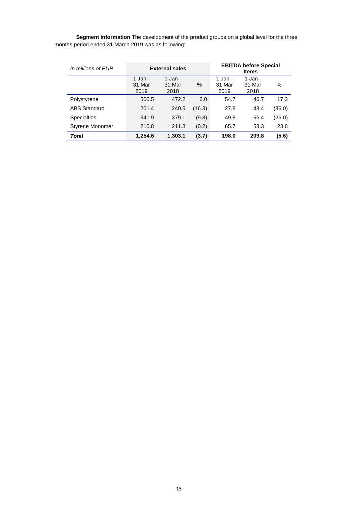**Segment information** The development of the product groups on a global level for the three months period ended 31 March 2019 was as following:

| In millions of EUR     | <b>External sales</b>     |                           | <b>EBITDA before Special</b><br><b>Items</b> |                           |                           |        |
|------------------------|---------------------------|---------------------------|----------------------------------------------|---------------------------|---------------------------|--------|
|                        | 1 Jan -<br>31 Mar<br>2019 | 1 Jan -<br>31 Mar<br>2018 | %                                            | 1 Jan -<br>31 Mar<br>2019 | 1 Jan -<br>31 Mar<br>2018 | %      |
| Polystyrene            | 500.5                     | 472.2                     | 6.0                                          | 54.7                      | 46.7                      | 17.3   |
| <b>ABS Standard</b>    | 201.4                     | 240.5                     | (16.3)                                       | 27.8                      | 43.4                      | (36.0) |
| <b>Specialties</b>     | 341.9                     | 379.1                     | (9.8)                                        | 49.8                      | 66.4                      | (25.0) |
| <b>Styrene Monomer</b> | 210.8                     | 211.3                     | (0.2)                                        | 65.7                      | 53.3                      | 23.6   |
| <b>Total</b>           | 1,254.6                   | 1,303.1                   | (3.7)                                        | 198.0                     | 209.8                     | (5.6)  |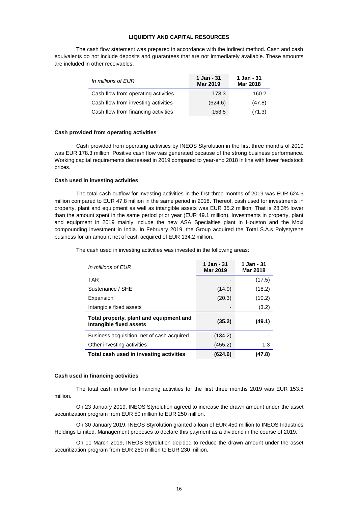## **LIQUIDITY AND CAPITAL RESOURCES**

The cash flow statement was prepared in accordance with the indirect method. Cash and cash equivalents do not include deposits and guarantees that are not immediately available. These amounts are included in other receivables.

| In millions of EUR                  | 1 Jan - 31<br><b>Mar 2019</b> | 1 Jan - 31<br><b>Mar 2018</b> |
|-------------------------------------|-------------------------------|-------------------------------|
| Cash flow from operating activities | 178.3                         | 160.2                         |
| Cash flow from investing activities | (624.6)                       | (47.8)                        |
| Cash flow from financing activities | 153.5                         | (71.3)                        |

#### **Cash provided from operating activities**

Cash provided from operating activities by INEOS Styrolution in the first three months of 2019 was EUR 178.3 million. Positive cash flow was generated because of the strong business performance. Working capital requirements decreased in 2019 compared to year-end 2018 in line with lower feedstock prices.

## **Cash used in investing activities**

The total cash outflow for investing activities in the first three months of 2019 was EUR 624.6 million compared to EUR 47.8 million in the same period in 2018. Thereof, cash used for investments in property, plant and equipment as well as intangible assets was EUR 35.2 million. That is 28.3% lower than the amount spent in the same period prior year (EUR 49.1 million). Investments in property, plant and equipment in 2019 mainly include the new ASA Specialties plant in Houston and the Moxi compounding investment in India. In February 2019, the Group acquired the Total S.A.s Polystyrene business for an amount net of cash acquired of EUR 134.2 million.

> *In millions of EUR* **1 Jan - <sup>31</sup> Mar 2019 1 Jan - 31 Mar 2018**  $\mathsf{TAR}$  (17.5) Sustenance / SHE (14.9) (18.2) Expansion (20.3) (10.2) Intangible fixed assets (3.2) **Total property, plant and equipment and Intangible fixed assets (35.2) (49.1)** Business acquisition, net of cash acquired (134.2) Other investing activities (455.2) 1.3 **Total cash used in investing activities (624.6) (47.8)**

The cash used in investing activities was invested in the following areas:

#### **Cash used in financing activities**

The total cash inflow for financing activities for the first three months 2019 was EUR 153.5 million.

On 23 January 2019, INEOS Styrolution agreed to increase the drawn amount under the asset securitization program from EUR 50 million to EUR 250 million.

On 30 January 2019, INEOS Styrolution granted a loan of EUR 450 million to INEOS Industries Holdings Limited. Management proposes to declare this payment as a dividend in the course of 2019.

On 11 March 2019, INEOS Styrolution decided to reduce the drawn amount under the asset securitization program from EUR 250 million to EUR 230 million.